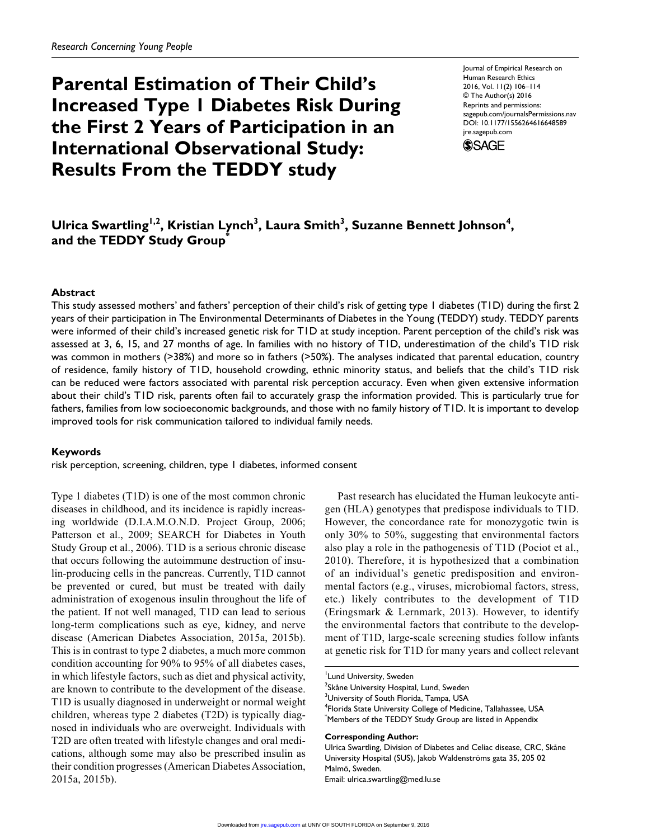# **Parental Estimation of Their Child's Increased Type 1 Diabetes Risk During the First 2 Years of Participation in an International Observational Study: Results From the TEDDY study**

Journal of Empirical Research on Human Research Ethics 2016, Vol. 11(2) 106–114 © The Author(s) 2016 Reprints and permissions: sagepub.com/journalsPermissions.nav DOI: 10.1177/1556264616648589 jre.sagepub.com **SSAGE** 

Ulrica Swartling<sup>1,2</sup>, Kristian Lynch<sup>3</sup>, Laura Smith<sup>3</sup>, Suzanne Bennett Johnson<sup>4</sup>, **and the TEDDY Study Group\***

#### **Abstract**

This study assessed mothers' and fathers' perception of their child's risk of getting type 1 diabetes (T1D) during the first 2 years of their participation in The Environmental Determinants of Diabetes in the Young (TEDDY) study. TEDDY parents were informed of their child's increased genetic risk for T1D at study inception. Parent perception of the child's risk was assessed at 3, 6, 15, and 27 months of age. In families with no history of T1D, underestimation of the child's T1D risk was common in mothers (>38%) and more so in fathers (>50%). The analyses indicated that parental education, country of residence, family history of T1D, household crowding, ethnic minority status, and beliefs that the child's T1D risk can be reduced were factors associated with parental risk perception accuracy. Even when given extensive information about their child's T1D risk, parents often fail to accurately grasp the information provided. This is particularly true for fathers, families from low socioeconomic backgrounds, and those with no family history of TID. It is important to develop improved tools for risk communication tailored to individual family needs.

#### **Keywords**

risk perception, screening, children, type 1 diabetes, informed consent

Type 1 diabetes (T1D) is one of the most common chronic diseases in childhood, and its incidence is rapidly increasing worldwide (D.I.A.M.O.N.D. Project Group, 2006; Patterson et al., 2009; SEARCH for Diabetes in Youth Study Group et al., 2006). T1D is a serious chronic disease that occurs following the autoimmune destruction of insulin-producing cells in the pancreas. Currently, T1D cannot be prevented or cured, but must be treated with daily administration of exogenous insulin throughout the life of the patient. If not well managed, T1D can lead to serious long-term complications such as eye, kidney, and nerve disease (American Diabetes Association, 2015a, 2015b). This is in contrast to type 2 diabetes, a much more common condition accounting for 90% to 95% of all diabetes cases, in which lifestyle factors, such as diet and physical activity, are known to contribute to the development of the disease. T1D is usually diagnosed in underweight or normal weight children, whereas type 2 diabetes (T2D) is typically diagnosed in individuals who are overweight. Individuals with T2D are often treated with lifestyle changes and oral medications, although some may also be prescribed insulin as their condition progresses (American Diabetes Association, 2015a, 2015b).

Past research has elucidated the Human leukocyte antigen (HLA) genotypes that predispose individuals to T1D. However, the concordance rate for monozygotic twin is only 30% to 50%, suggesting that environmental factors also play a role in the pathogenesis of T1D (Pociot et al., 2010). Therefore, it is hypothesized that a combination of an individual's genetic predisposition and environmental factors (e.g., viruses, microbiomal factors, stress, etc.) likely contributes to the development of T1D (Eringsmark & Lernmark, 2013). However, to identify the environmental factors that contribute to the development of T1D, large-scale screening studies follow infants at genetic risk for T1D for many years and collect relevant

<sup>3</sup>University of South Florida, Tampa, USA

4 Florida State University College of Medicine, Tallahassee, USA \* Members of the TEDDY Study Group are listed in Appendix

#### **Corresponding Author:**

Ulrica Swartling, Division of Diabetes and Celiac disease, CRC, Skåne University Hospital (SUS), Jakob Waldenströms gata 35, 205 02 Malmö, Sweden. Email: [ulrica.swartling@med.lu.se](mailto:ulrica.swartling@med.lu.se)

Lund University, Sweden

<sup>&</sup>lt;sup>2</sup>Skåne University Hospital, Lund, Sweden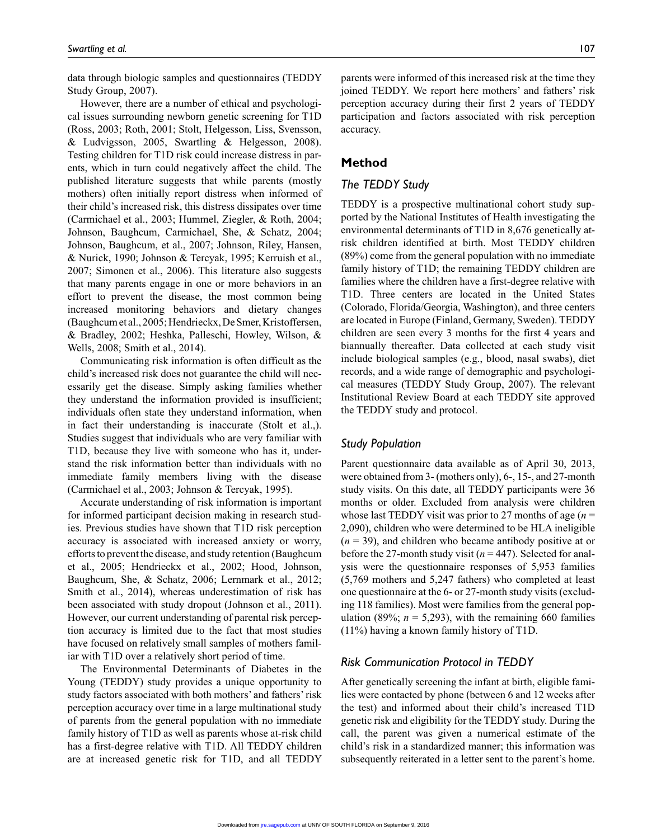data through biologic samples and questionnaires (TEDDY Study Group, 2007).

However, there are a number of ethical and psychological issues surrounding newborn genetic screening for T1D (Ross, 2003; Roth, 2001; Stolt, Helgesson, Liss, Svensson, & Ludvigsson, 2005, Swartling & Helgesson, 2008). Testing children for T1D risk could increase distress in parents, which in turn could negatively affect the child. The published literature suggests that while parents (mostly mothers) often initially report distress when informed of their child's increased risk, this distress dissipates over time (Carmichael et al., 2003; Hummel, Ziegler, & Roth, 2004; Johnson, Baughcum, Carmichael, She, & Schatz, 2004; Johnson, Baughcum, et al., 2007; Johnson, Riley, Hansen, & Nurick, 1990; Johnson & Tercyak, 1995; Kerruish et al., 2007; Simonen et al., 2006). This literature also suggests that many parents engage in one or more behaviors in an effort to prevent the disease, the most common being increased monitoring behaviors and dietary changes (Baughcum et al., 2005; Hendrieckx, De Smer, Kristoffersen, & Bradley, 2002; Heshka, Palleschi, Howley, Wilson, & Wells, 2008; Smith et al., 2014).

Communicating risk information is often difficult as the child's increased risk does not guarantee the child will necessarily get the disease. Simply asking families whether they understand the information provided is insufficient; individuals often state they understand information, when in fact their understanding is inaccurate (Stolt et al.,). Studies suggest that individuals who are very familiar with T1D, because they live with someone who has it, understand the risk information better than individuals with no immediate family members living with the disease (Carmichael et al., 2003; Johnson & Tercyak, 1995).

Accurate understanding of risk information is important for informed participant decision making in research studies. Previous studies have shown that T1D risk perception accuracy is associated with increased anxiety or worry, efforts to prevent the disease, and study retention (Baughcum et al., 2005; Hendrieckx et al., 2002; Hood, Johnson, Baughcum, She, & Schatz, 2006; Lernmark et al., 2012; Smith et al., 2014), whereas underestimation of risk has been associated with study dropout (Johnson et al., 2011). However, our current understanding of parental risk perception accuracy is limited due to the fact that most studies have focused on relatively small samples of mothers familiar with T1D over a relatively short period of time.

The Environmental Determinants of Diabetes in the Young (TEDDY) study provides a unique opportunity to study factors associated with both mothers' and fathers' risk perception accuracy over time in a large multinational study of parents from the general population with no immediate family history of T1D as well as parents whose at-risk child has a first-degree relative with T1D. All TEDDY children are at increased genetic risk for T1D, and all TEDDY

parents were informed of this increased risk at the time they joined TEDDY. We report here mothers' and fathers' risk perception accuracy during their first 2 years of TEDDY participation and factors associated with risk perception accuracy.

# **Method**

## *The TEDDY Study*

TEDDY is a prospective multinational cohort study supported by the National Institutes of Health investigating the environmental determinants of T1D in 8,676 genetically atrisk children identified at birth. Most TEDDY children (89%) come from the general population with no immediate family history of T1D; the remaining TEDDY children are families where the children have a first-degree relative with T1D. Three centers are located in the United States (Colorado, Florida/Georgia, Washington), and three centers are located in Europe (Finland, Germany, Sweden). TEDDY children are seen every 3 months for the first 4 years and biannually thereafter. Data collected at each study visit include biological samples (e.g., blood, nasal swabs), diet records, and a wide range of demographic and psychological measures (TEDDY Study Group, 2007). The relevant Institutional Review Board at each TEDDY site approved the TEDDY study and protocol.

# *Study Population*

Parent questionnaire data available as of April 30, 2013, were obtained from 3- (mothers only), 6-, 15-, and 27-month study visits. On this date, all TEDDY participants were 36 months or older. Excluded from analysis were children whose last TEDDY visit was prior to 27 months of age (*n* = 2,090), children who were determined to be HLA ineligible (*n* = 39), and children who became antibody positive at or before the 27-month study visit (*n* = 447). Selected for analysis were the questionnaire responses of 5,953 families (5,769 mothers and 5,247 fathers) who completed at least one questionnaire at the 6- or 27-month study visits (excluding 118 families). Most were families from the general population (89%;  $n = 5,293$ ), with the remaining 660 families (11%) having a known family history of T1D.

# *Risk Communication Protocol in TEDDY*

After genetically screening the infant at birth, eligible families were contacted by phone (between 6 and 12 weeks after the test) and informed about their child's increased T1D genetic risk and eligibility for the TEDDY study. During the call, the parent was given a numerical estimate of the child's risk in a standardized manner; this information was subsequently reiterated in a letter sent to the parent's home.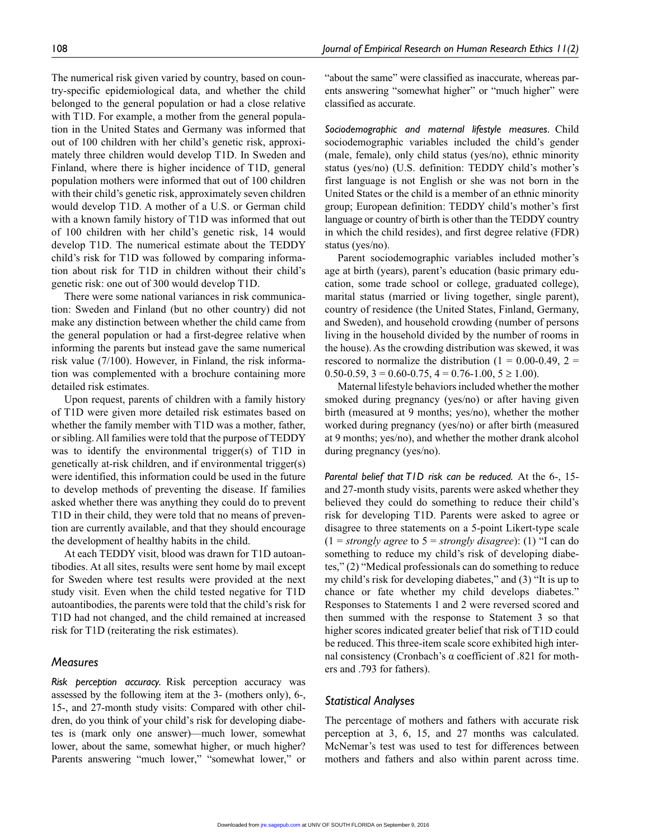The numerical risk given varied by country, based on country-specific epidemiological data, and whether the child belonged to the general population or had a close relative with T1D. For example, a mother from the general population in the United States and Germany was informed that out of 100 children with her child's genetic risk, approximately three children would develop T1D. In Sweden and Finland, where there is higher incidence of T1D, general population mothers were informed that out of 100 children with their child's genetic risk, approximately seven children would develop T1D. A mother of a U.S. or German child with a known family history of T1D was informed that out of 100 children with her child's genetic risk, 14 would develop T1D. The numerical estimate about the TEDDY child's risk for T1D was followed by comparing information about risk for T1D in children without their child's genetic risk: one out of 300 would develop T1D.

There were some national variances in risk communication: Sweden and Finland (but no other country) did not make any distinction between whether the child came from the general population or had a first-degree relative when informing the parents but instead gave the same numerical risk value (7/100). However, in Finland, the risk information was complemented with a brochure containing more detailed risk estimates.

Upon request, parents of children with a family history of T1D were given more detailed risk estimates based on whether the family member with T1D was a mother, father, or sibling. All families were told that the purpose of TEDDY was to identify the environmental trigger(s) of T1D in genetically at-risk children, and if environmental trigger(s) were identified, this information could be used in the future to develop methods of preventing the disease. If families asked whether there was anything they could do to prevent T1D in their child, they were told that no means of prevention are currently available, and that they should encourage the development of healthy habits in the child.

At each TEDDY visit, blood was drawn for T1D autoantibodies. At all sites, results were sent home by mail except for Sweden where test results were provided at the next study visit. Even when the child tested negative for T1D autoantibodies, the parents were told that the child's risk for T1D had not changed, and the child remained at increased risk for T1D (reiterating the risk estimates).

#### *Measures*

*Risk perception accuracy.* Risk perception accuracy was assessed by the following item at the 3- (mothers only), 6-, 15-, and 27-month study visits: Compared with other children, do you think of your child's risk for developing diabetes is (mark only one answer)—much lower, somewhat lower, about the same, somewhat higher, or much higher? Parents answering "much lower," "somewhat lower," or "about the same" were classified as inaccurate, whereas parents answering "somewhat higher" or "much higher" were classified as accurate.

*Sociodemographic and maternal lifestyle measures.* Child sociodemographic variables included the child's gender (male, female), only child status (yes/no), ethnic minority status (yes/no) (U.S. definition: TEDDY child's mother's first language is not English or she was not born in the United States or the child is a member of an ethnic minority group; European definition: TEDDY child's mother's first language or country of birth is other than the TEDDY country in which the child resides), and first degree relative (FDR) status (yes/no).

Parent sociodemographic variables included mother's age at birth (years), parent's education (basic primary education, some trade school or college, graduated college), marital status (married or living together, single parent), country of residence (the United States, Finland, Germany, and Sweden), and household crowding (number of persons living in the household divided by the number of rooms in the house). As the crowding distribution was skewed, it was rescored to normalize the distribution  $(1 = 0.00-0.49, 2 =$ 0.50-0.59,  $3 = 0.60$ -0.75,  $4 = 0.76$ -1.00,  $5 \ge 1.00$ ).

Maternal lifestyle behaviors included whether the mother smoked during pregnancy (yes/no) or after having given birth (measured at 9 months; yes/no), whether the mother worked during pregnancy (yes/no) or after birth (measured at 9 months; yes/no), and whether the mother drank alcohol during pregnancy (yes/no).

*Parental belief that T1D risk can be reduced.* At the 6-, 15 and 27-month study visits, parents were asked whether they believed they could do something to reduce their child's risk for developing T1D. Parents were asked to agree or disagree to three statements on a 5-point Likert-type scale (1 = *strongly agree* to 5 = *strongly disagree*): (1) "I can do something to reduce my child's risk of developing diabetes," (2) "Medical professionals can do something to reduce my child's risk for developing diabetes," and (3) "It is up to chance or fate whether my child develops diabetes." Responses to Statements 1 and 2 were reversed scored and then summed with the response to Statement 3 so that higher scores indicated greater belief that risk of T1D could be reduced. This three-item scale score exhibited high internal consistency (Cronbach's α coefficient of .821 for mothers and .793 for fathers).

#### *Statistical Analyses*

The percentage of mothers and fathers with accurate risk perception at 3, 6, 15, and 27 months was calculated. McNemar's test was used to test for differences between mothers and fathers and also within parent across time.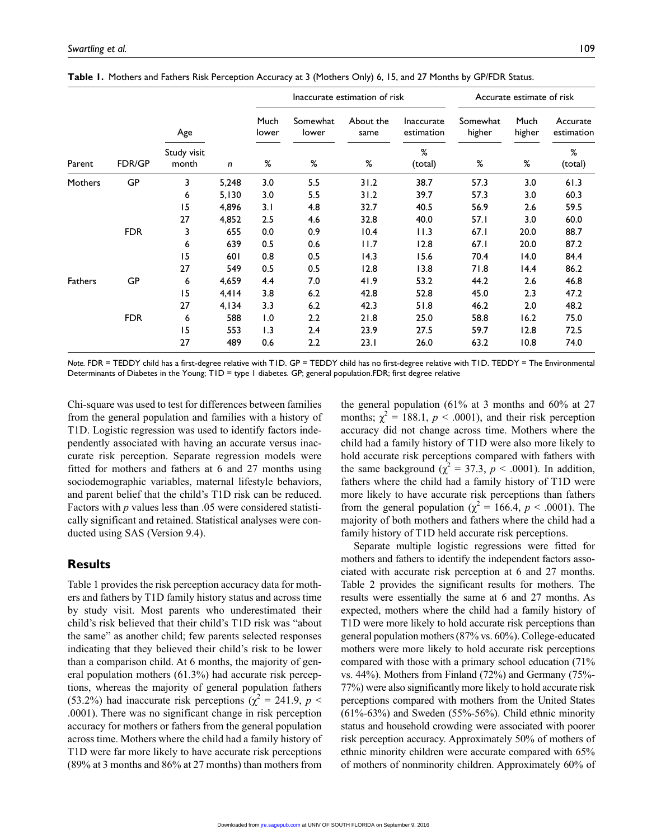|                |            | Age                  |       |               |                   | Inaccurate estimation of risk | Accurate estimate of risk |                    |                |                        |
|----------------|------------|----------------------|-------|---------------|-------------------|-------------------------------|---------------------------|--------------------|----------------|------------------------|
|                |            |                      |       | Much<br>lower | Somewhat<br>lower | About the<br>same             | Inaccurate<br>estimation  | Somewhat<br>higher | Much<br>higher | Accurate<br>estimation |
| Parent         | FDR/GP     | Study visit<br>month | n     | $\%$          | $\%$              | $\%$                          | %<br>(total)              | $\%$               | %              | %<br>(total)           |
| <b>Mothers</b> | GP         | 3                    | 5,248 | 3.0           | 5.5               | 31.2                          | 38.7                      | 57.3               | 3.0            | 61.3                   |
|                |            | 6                    | 5,130 | 3.0           | 5.5               | 31.2                          | 39.7                      | 57.3               | 3.0            | 60.3                   |
|                |            | 15                   | 4,896 | 3.1           | 4.8               | 32.7                          | 40.5                      | 56.9               | 2.6            | 59.5                   |
|                |            | 27                   | 4,852 | 2.5           | 4.6               | 32.8                          | 40.0                      | 57.1               | 3.0            | 60.0                   |
|                | <b>FDR</b> | 3                    | 655   | 0.0           | 0.9               | 10.4                          | 11.3                      | 67.1               | 20.0           | 88.7                   |
|                |            | 6                    | 639   | 0.5           | 0.6               | 11.7                          | 12.8                      | 67.1               | 20.0           | 87.2                   |
|                |            | 15                   | 601   | 0.8           | 0.5               | 14.3                          | 15.6                      | 70.4               | 14.0           | 84.4                   |
|                |            | 27                   | 549   | 0.5           | 0.5               | 12.8                          | 13.8                      | 71.8               | 14.4           | 86.2                   |
| Fathers        | <b>GP</b>  | 6                    | 4,659 | 4.4           | 7.0               | 41.9                          | 53.2                      | 44.2               | 2.6            | 46.8                   |
|                |            | 15                   | 4,414 | 3.8           | 6.2               | 42.8                          | 52.8                      | 45.0               | 2.3            | 47.2                   |
|                |            | 27                   | 4,134 | 3.3           | 6.2               | 42.3                          | 51.8                      | 46.2               | 2.0            | 48.2                   |
|                | <b>FDR</b> | 6                    | 588   | 1.0           | 2.2               | 21.8                          | 25.0                      | 58.8               | 16.2           | 75.0                   |
|                |            | 15                   | 553   | 1.3           | 2.4               | 23.9                          | 27.5                      | 59.7               | 12.8           | 72.5                   |
|                |            | 27                   | 489   | 0.6           | 2.2               | 23.1                          | 26.0                      | 63.2               | 10.8           | 74.0                   |

**Table 1.** Mothers and Fathers Risk Perception Accuracy at 3 (Mothers Only) 6, 15, and 27 Months by GP/FDR Status.

*Note.* FDR = TEDDY child has a first-degree relative with T1D. GP = TEDDY child has no first-degree relative with T1D. TEDDY = The Environmental Determinants of Diabetes in the Young; T1D = type 1 diabetes. GP; general population.FDR; first degree relative

Chi-square was used to test for differences between families from the general population and families with a history of T1D. Logistic regression was used to identify factors independently associated with having an accurate versus inaccurate risk perception. Separate regression models were fitted for mothers and fathers at 6 and 27 months using sociodemographic variables, maternal lifestyle behaviors, and parent belief that the child's T1D risk can be reduced. Factors with *p* values less than .05 were considered statistically significant and retained. Statistical analyses were conducted using SAS (Version 9.4).

# **Results**

Table 1 provides the risk perception accuracy data for mothers and fathers by T1D family history status and across time by study visit. Most parents who underestimated their child's risk believed that their child's T1D risk was "about the same" as another child; few parents selected responses indicating that they believed their child's risk to be lower than a comparison child. At 6 months, the majority of general population mothers (61.3%) had accurate risk perceptions, whereas the majority of general population fathers (53.2%) had inaccurate risk perceptions ( $\chi^2 = 241.9$ ,  $p <$ .0001). There was no significant change in risk perception accuracy for mothers or fathers from the general population across time. Mothers where the child had a family history of T1D were far more likely to have accurate risk perceptions (89% at 3 months and 86% at 27 months) than mothers from

the general population (61% at 3 months and 60% at 27 months;  $\chi^2 = 188.1$ ,  $p < .0001$ ), and their risk perception accuracy did not change across time. Mothers where the child had a family history of T1D were also more likely to hold accurate risk perceptions compared with fathers with the same background ( $\chi^2 = 37.3$ ,  $p < .0001$ ). In addition, fathers where the child had a family history of T1D were more likely to have accurate risk perceptions than fathers from the general population ( $\chi^2 = 166.4$ ,  $p < .0001$ ). The majority of both mothers and fathers where the child had a family history of T1D held accurate risk perceptions.

Separate multiple logistic regressions were fitted for mothers and fathers to identify the independent factors associated with accurate risk perception at 6 and 27 months. Table 2 provides the significant results for mothers. The results were essentially the same at 6 and 27 months. As expected, mothers where the child had a family history of T1D were more likely to hold accurate risk perceptions than general population mothers (87% vs. 60%). College-educated mothers were more likely to hold accurate risk perceptions compared with those with a primary school education (71% vs. 44%). Mothers from Finland (72%) and Germany (75%- 77%) were also significantly more likely to hold accurate risk perceptions compared with mothers from the United States  $(61\% - 63\%)$  and Sweden  $(55\% - 56\%)$ . Child ethnic minority status and household crowding were associated with poorer risk perception accuracy. Approximately 50% of mothers of ethnic minority children were accurate compared with 65% of mothers of nonminority children. Approximately 60% of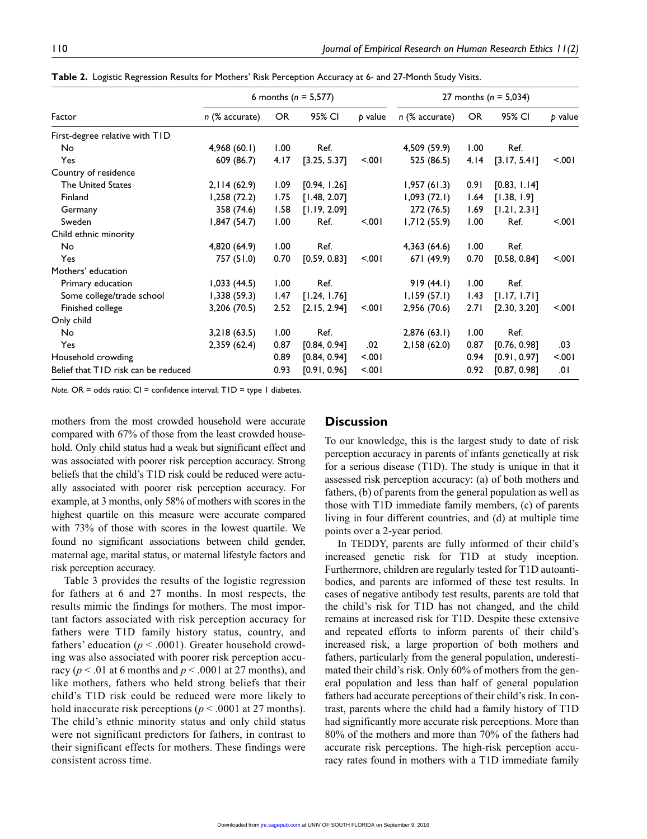|                                     | 6 months ( $n = 5,577$ ) | 27 months ( $n = 5,034$ ) |              |         |                |      |              |         |
|-------------------------------------|--------------------------|---------------------------|--------------|---------|----------------|------|--------------|---------|
| Factor                              | $n$ (% accurate)         | OR.                       | 95% CI       | p value | n (% accurate) | OR.  | 95% CI       | p value |
| First-degree relative with TID      |                          |                           |              |         |                |      |              |         |
| No                                  | 4,968(60.1)              | 1.00                      | Ref.         |         | 4,509 (59.9)   | 1.00 | Ref.         |         |
| Yes                                 | 609 (86.7)               | 4.17                      | [3.25, 5.37] | 5001    | 525 (86.5)     | 4.14 | [3.17, 5.41] | $500 -$ |
| Country of residence                |                          |                           |              |         |                |      |              |         |
| <b>The United States</b>            | 2,114(62.9)              | 1.09                      | [0.94, 1.26] |         | 1,957(61.3)    | 0.91 | [0.83, 1.14] |         |
| Finland                             | 1,258(72.2)              | 1.75                      | [1.48, 2.07] |         | 1,093(72.1)    | 1.64 | [1.38, 1.9]  |         |
| Germany                             | 358 (74.6)               | 1.58                      | [1.19, 2.09] |         | 272 (76.5)     | 1.69 | [1.21, 2.31] |         |
| Sweden                              | 1,847(54.7)              | 1.00                      | Ref.         | $500 -$ | 1,712(55.9)    | 1.00 | Ref.         | $500 -$ |
| Child ethnic minority               |                          |                           |              |         |                |      |              |         |
| No                                  | 4,820 (64.9)             | 1.00                      | Ref.         |         | 4,363 (64.6)   | 1.00 | Ref.         |         |
| Yes                                 | 757 (51.0)               | 0.70                      | [0.59, 0.83] | $500 -$ | 671 (49.9)     | 0.70 | [0.58, 0.84] | $500 -$ |
| Mothers' education                  |                          |                           |              |         |                |      |              |         |
| Primary education                   | 1,033(44.5)              | 1.00                      | Ref.         |         | 919(44.1)      | 1.00 | Ref.         |         |
| Some college/trade school           | 1,338(59.3)              | 1.47                      | [1.24, 1.76] |         | 1,159(57.1)    | 1.43 | [1.17, 1.71] |         |
| Finished college                    | 3,206 (70.5)             | 2.52                      | [2.15, 2.94] | $500 -$ | 2,956 (70.6)   | 2.71 | [2.30, 3.20] | 5.001   |
| Only child                          |                          |                           |              |         |                |      |              |         |
| No                                  | 3,218(63.5)              | 00.1                      | Ref.         |         | 2,876(63.1)    | 1.00 | Ref.         |         |
| Yes                                 | 2,359 (62.4)             | 0.87                      | [0.84, 0.94] | .02     | 2,158(62.0)    | 0.87 | [0.76, 0.98] | .03     |
| Household crowding                  |                          | 0.89                      | [0.84, 0.94] | $500 -$ |                | 0.94 | [0.91, 0.97] | 5.001   |
| Belief that TID risk can be reduced |                          | 0.93                      | [0.91, 0.96] | $500 -$ |                | 0.92 | [0.87, 0.98] | .01     |

**Table 2.** Logistic Regression Results for Mothers' Risk Perception Accuracy at 6- and 27-Month Study Visits.

*Note.* OR = odds ratio; CI = confidence interval; TID = type I diabetes.

mothers from the most crowded household were accurate compared with 67% of those from the least crowded household. Only child status had a weak but significant effect and was associated with poorer risk perception accuracy. Strong beliefs that the child's T1D risk could be reduced were actually associated with poorer risk perception accuracy. For example, at 3 months, only 58% of mothers with scores in the highest quartile on this measure were accurate compared with 73% of those with scores in the lowest quartile. We found no significant associations between child gender, maternal age, marital status, or maternal lifestyle factors and risk perception accuracy.

Table 3 provides the results of the logistic regression for fathers at 6 and 27 months. In most respects, the results mimic the findings for mothers. The most important factors associated with risk perception accuracy for fathers were T1D family history status, country, and fathers' education ( $p < .0001$ ). Greater household crowding was also associated with poorer risk perception accuracy ( $p < .01$  at 6 months and  $p < .0001$  at 27 months), and like mothers, fathers who held strong beliefs that their child's T1D risk could be reduced were more likely to hold inaccurate risk perceptions ( $p < .0001$  at 27 months). The child's ethnic minority status and only child status were not significant predictors for fathers, in contrast to their significant effects for mothers. These findings were consistent across time.

#### **Discussion**

To our knowledge, this is the largest study to date of risk perception accuracy in parents of infants genetically at risk for a serious disease (T1D). The study is unique in that it assessed risk perception accuracy: (a) of both mothers and fathers, (b) of parents from the general population as well as those with T1D immediate family members, (c) of parents living in four different countries, and (d) at multiple time points over a 2-year period.

In TEDDY, parents are fully informed of their child's increased genetic risk for T1D at study inception. Furthermore, children are regularly tested for T1D autoantibodies, and parents are informed of these test results. In cases of negative antibody test results, parents are told that the child's risk for T1D has not changed, and the child remains at increased risk for T1D. Despite these extensive and repeated efforts to inform parents of their child's increased risk, a large proportion of both mothers and fathers, particularly from the general population, underestimated their child's risk. Only 60% of mothers from the general population and less than half of general population fathers had accurate perceptions of their child's risk. In contrast, parents where the child had a family history of T1D had significantly more accurate risk perceptions. More than 80% of the mothers and more than 70% of the fathers had accurate risk perceptions. The high-risk perception accuracy rates found in mothers with a T1D immediate family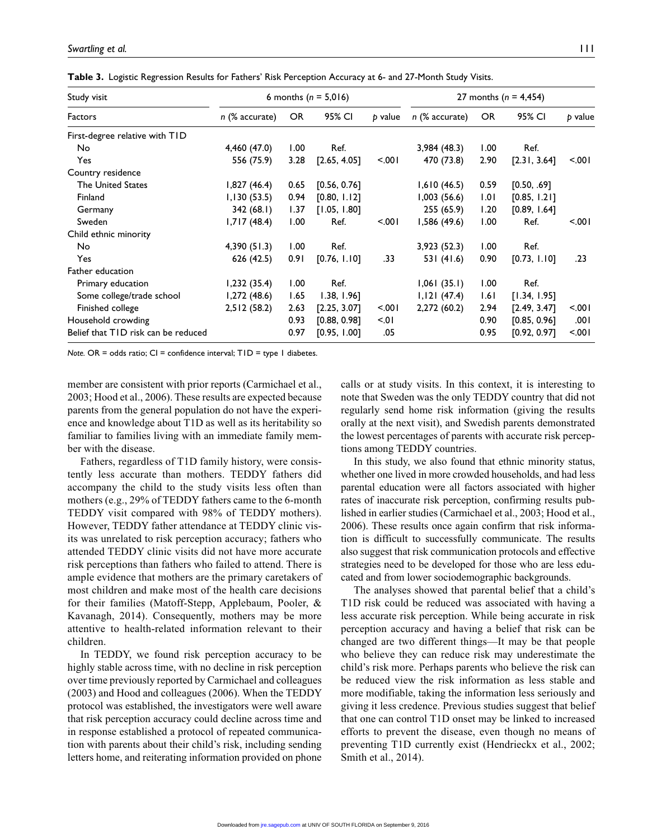**Table 3.** Logistic Regression Results for Fathers' Risk Perception Accuracy at 6- and 27-Month Study Visits.

| Study visit                         |                  | 6 months ( $n = 5,016$ ) |              | 27 months ( $n = 4,454$ ) |                  |      |              |         |
|-------------------------------------|------------------|--------------------------|--------------|---------------------------|------------------|------|--------------|---------|
| Factors                             | $n$ (% accurate) | OR.                      | 95% CI       | p value                   | $n$ (% accurate) | OR.  | 95% CI       | p value |
| First-degree relative with TID      |                  |                          |              |                           |                  |      |              |         |
| No                                  | 4,460 (47.0)     | 1.00                     | Ref.         |                           | 3,984(48.3)      | 1.00 | Ref.         |         |
| Yes                                 | 556 (75.9)       | 3.28                     | [2.65, 4.05] | 5001                      | 470 (73.8)       | 2.90 | [2.31, 3.64] | $500 -$ |
| Country residence                   |                  |                          |              |                           |                  |      |              |         |
| <b>The United States</b>            | 1,827(46.4)      | 0.65                     | [0.56, 0.76] |                           | 1,610(46.5)      | 0.59 | [0.50, .69]  |         |
| Finland                             | 1,130(53.5)      | 0.94                     | [0.80, 1.12] |                           | 1,003(56.6)      | 1.01 | [0.85, 1.21] |         |
| Germany                             | 342 (68.1)       | 1.37                     | [1.05, 1.80] |                           | 255 (65.9)       | 1.20 | [0.89, 1.64] |         |
| Sweden                              | 1,717(48.4)      | 1.00                     | Ref.         | $500 -$                   | 1,586(49.6)      | 00.1 | Ref.         | 5.001   |
| Child ethnic minority               |                  |                          |              |                           |                  |      |              |         |
| No                                  | 4,390(51.3)      | 1.00                     | Ref.         |                           | 3,923 (52.3)     | 1.00 | Ref.         |         |
| Yes                                 | 626 (42.5)       | 0.91                     | [0.76, 1.10] | .33                       | 531 (41.6)       | 0.90 | [0.73, 1.10] | .23     |
| Father education                    |                  |                          |              |                           |                  |      |              |         |
| Primary education                   | 1,232(35.4)      | 1.00                     | Ref.         |                           | 1,061(35.1)      | 1.00 | Ref.         |         |
| Some college/trade school           | 1,272(48.6)      | 1.65                     | 1.38, 1.96   |                           | 1, 121 (47.4)    | 1.61 | [1.34, 1.95] |         |
| Finished college                    | 2,512(58.2)      | 2.63                     | [2.25, 3.07] | 5.001                     | 2,272 (60.2)     | 2.94 | [2.49, 3.47] | 5.001   |
| Household crowding                  |                  | 0.93                     | [0.88, 0.98] | 5.01                      |                  | 0.90 | [0.85, 0.96] | .001    |
| Belief that TID risk can be reduced |                  |                          | [0.95, 1.00] | .05                       |                  | 0.95 | [0.92, 0.97] | 5.001   |

*Note.* OR = odds ratio; CI = confidence interval; TID = type I diabetes.

member are consistent with prior reports (Carmichael et al., 2003; Hood et al., 2006). These results are expected because parents from the general population do not have the experience and knowledge about T1D as well as its heritability so familiar to families living with an immediate family member with the disease.

Fathers, regardless of T1D family history, were consistently less accurate than mothers. TEDDY fathers did accompany the child to the study visits less often than mothers (e.g., 29% of TEDDY fathers came to the 6-month TEDDY visit compared with 98% of TEDDY mothers). However, TEDDY father attendance at TEDDY clinic visits was unrelated to risk perception accuracy; fathers who attended TEDDY clinic visits did not have more accurate risk perceptions than fathers who failed to attend. There is ample evidence that mothers are the primary caretakers of most children and make most of the health care decisions for their families (Matoff-Stepp, Applebaum, Pooler, & Kavanagh, 2014). Consequently, mothers may be more attentive to health-related information relevant to their children.

In TEDDY, we found risk perception accuracy to be highly stable across time, with no decline in risk perception over time previously reported by Carmichael and colleagues (2003) and Hood and colleagues (2006). When the TEDDY protocol was established, the investigators were well aware that risk perception accuracy could decline across time and in response established a protocol of repeated communication with parents about their child's risk, including sending letters home, and reiterating information provided on phone

calls or at study visits. In this context, it is interesting to note that Sweden was the only TEDDY country that did not regularly send home risk information (giving the results orally at the next visit), and Swedish parents demonstrated the lowest percentages of parents with accurate risk perceptions among TEDDY countries.

In this study, we also found that ethnic minority status, whether one lived in more crowded households, and had less parental education were all factors associated with higher rates of inaccurate risk perception, confirming results published in earlier studies (Carmichael et al., 2003; Hood et al., 2006). These results once again confirm that risk information is difficult to successfully communicate. The results also suggest that risk communication protocols and effective strategies need to be developed for those who are less educated and from lower sociodemographic backgrounds.

The analyses showed that parental belief that a child's T1D risk could be reduced was associated with having a less accurate risk perception. While being accurate in risk perception accuracy and having a belief that risk can be changed are two different things—It may be that people who believe they can reduce risk may underestimate the child's risk more. Perhaps parents who believe the risk can be reduced view the risk information as less stable and more modifiable, taking the information less seriously and giving it less credence. Previous studies suggest that belief that one can control T1D onset may be linked to increased efforts to prevent the disease, even though no means of preventing T1D currently exist (Hendrieckx et al., 2002; Smith et al., 2014).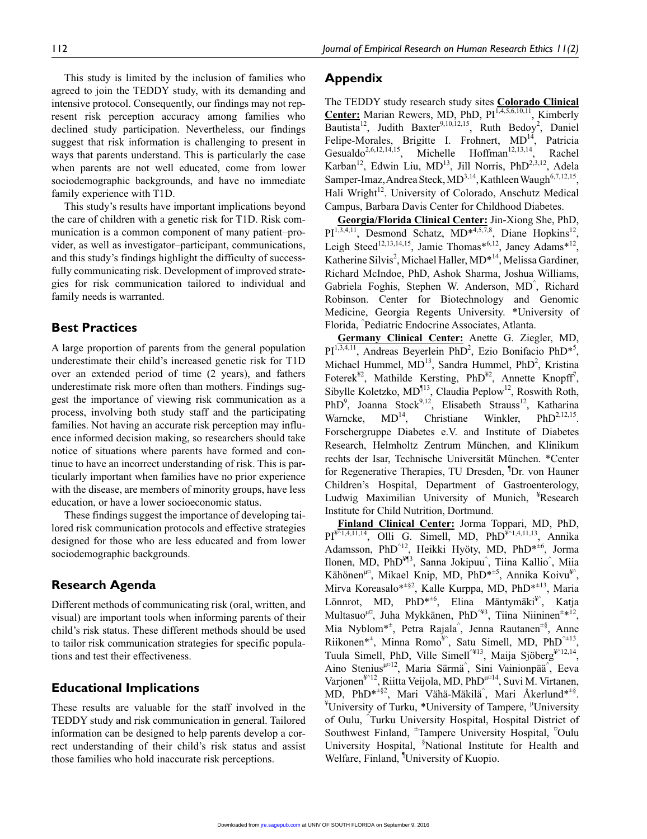This study is limited by the inclusion of families who agreed to join the TEDDY study, with its demanding and intensive protocol. Consequently, our findings may not represent risk perception accuracy among families who declined study participation. Nevertheless, our findings suggest that risk information is challenging to present in ways that parents understand. This is particularly the case when parents are not well educated, come from lower sociodemographic backgrounds, and have no immediate

This study's results have important implications beyond the care of children with a genetic risk for T1D. Risk communication is a common component of many patient–provider, as well as investigator–participant, communications, and this study's findings highlight the difficulty of successfully communicating risk. Development of improved strategies for risk communication tailored to individual and family needs is warranted.

# **Best Practices**

family experience with T1D.

A large proportion of parents from the general population underestimate their child's increased genetic risk for T1D over an extended period of time (2 years), and fathers underestimate risk more often than mothers. Findings suggest the importance of viewing risk communication as a process, involving both study staff and the participating families. Not having an accurate risk perception may influence informed decision making, so researchers should take notice of situations where parents have formed and continue to have an incorrect understanding of risk. This is particularly important when families have no prior experience with the disease, are members of minority groups, have less education, or have a lower socioeconomic status.

These findings suggest the importance of developing tailored risk communication protocols and effective strategies designed for those who are less educated and from lower sociodemographic backgrounds.

# **Research Agenda**

Different methods of communicating risk (oral, written, and visual) are important tools when informing parents of their child's risk status. These different methods should be used to tailor risk communication strategies for specific populations and test their effectiveness.

# **Educational Implications**

These results are valuable for the staff involved in the TEDDY study and risk communication in general. Tailored information can be designed to help parents develop a correct understanding of their child's risk status and assist those families who hold inaccurate risk perceptions.

### **Appendix**

The TEDDY study research study sites **Colorado Clinical**  Center: Marian Rewers, MD, PhD, PI<sup>1,4,5,6,10,11</sup>, Kimberly Bautista<sup>12</sup>, Judith Baxter<sup>9,10,12,15</sup>, Ruth Bedoy<sup>2</sup>, Daniel Felipe-Morales, Brigitte I. Frohnert, MD<sup>14</sup>, Patricia Gesualdo<sup>2,6,12,14,15</sup>, Michelle Hoffman<sup>12,13,14</sup>, Rachel Karban<sup>12</sup>, Edwin Liu, MD<sup>13</sup>, Jill Norris, PhD<sup>2,3,12</sup>, Adela Samper-Imaz, Andrea Steck, MD<sup>3,14</sup>, Kathleen Waugh<sup>6,7,12,15</sup>, Hali Wright<sup>12</sup>. University of Colorado, Anschutz Medical Campus, Barbara Davis Center for Childhood Diabetes.

**Georgia/Florida Clinical Center:** Jin-Xiong She, PhD,  $PI<sup>1,3,4,11</sup>$ , Desmond Schatz, MD<sup>\*4,5,7,8</sup>, Diane Hopkins<sup>12</sup>, Leigh Steed<sup>12,13,14,15</sup>, Jamie Thomas\*<sup>6,12</sup>, Janey Adams<sup>\*12</sup>, Katherine Silvis<sup>2</sup>, Michael Haller, MD<sup>\*14</sup>, Melissa Gardiner, Richard McIndoe, PhD, Ashok Sharma, Joshua Williams, Gabriela Foghis, Stephen W. Anderson, MD^ , Richard Robinson. Center for Biotechnology and Genomic Medicine, Georgia Regents University. \*University of Florida, ^ Pediatric Endocrine Associates, Atlanta.

**Germany Clinical Center:** Anette G. Ziegler, MD,  $PI^{1,3,4,11}$ , Andreas Beyerlein PhD<sup>2</sup>, Ezio Bonifacio PhD<sup>\*5</sup>, Michael Hummel, MD<sup>13</sup>, Sandra Hummel, PhD<sup>2</sup>, Kristina Foterek<sup>¥2</sup>, Mathilde Kersting, PhD<sup>¥2</sup>, Annette Knopff<sup>7</sup>, Sibylle Koletzko,  $MD^{13}$ , Claudia Peplow<sup>12</sup>, Roswith Roth, PhD<sup>9</sup>, Joanna Stock<sup>9,12</sup>, Elisabeth Strauss<sup>12</sup>, Katharina Warncke,  $MD^{14}$ , Christiane Winkler, Ph $D^{2,12,15}$ . Forschergruppe Diabetes e.V. and Institute of Diabetes Research, Helmholtz Zentrum München, and Klinikum rechts der Isar, Technische Universität München. \*Center for Regenerative Therapies, TU Dresden, <sup>¶</sup>Dr. von Hauner Children's Hospital, Department of Gastroenterology, Ludwig Maximilian University of Munich, <sup>¥</sup>Research Institute for Child Nutrition, Dortmund.

**Finland Clinical Center:** Jorma Toppari, MD, PhD,  $PI^{\Psi\setminus1,4,11,14}$ , Olli G. Simell, MD, PhD $\hat{Y}^{\hat{A}}$ 1,4,11,13, Annika Adamsson,  $PhD^{\prime12}$ , Heikki Hyöty, MD,  $PhD^{*±6}$ , Jorma Ilonen, MD, PhD<sup>¥¶3</sup>, Sanna Jokipuu<sup>^</sup>, Tiina Kallio<sup>^</sup>, Miia Kähönen $\mu^{\alpha}$ , Mikael Knip, MD, PhD<sup>\*15</sup>, Annika Koivu<sup>¥</sup><sup>,</sup> Mirva Koreasalo\*<sup>±§2</sup>, Kalle Kurppa, MD, PhD<sup>\*±13</sup>, Maria Lönnrot, MD, PhD<sup>\*+6</sup>, Elina Mäntymäki<sup>¥</sup><sup>^</sup>, Katja Multasuo<sup>µ¤</sup>, Juha Mykkänen, PhD<sup>^¥3</sup>, Tiina Niininen<sup>±\*12</sup>, Mia Nyblom\*± , Petra Rajala^ , Jenna Rautanen±§, Anne Riikonen\*<sup>±</sup>, Minna Romo<sup>¥</sup><sup>^</sup>, Satu Simell, MD, PhD<sup>^±13</sup>, Tuula Simell, PhD, Ville Simell<sup>\*413</sup>, Maija Sjöberg<sup>¥^12,14</sup>, Aino Stenius<sup>µ¤12</sup>, Maria Särmä<sup>^</sup>, Sini Vainionpää<sup>^</sup>, Eeva Varjonen<sup>¥^12</sup>, Riitta Veijola, MD, PhD<sup>µ¤14</sup>, Suvi M. Virtanen, MD,  $PhD^{*+82}$ , Mari Vähä-Mäkilä<sup>^</sup>, Mari Åkerlund<sup>\*±§</sup>.<br><sup>¥</sup>University of Turku, \*University of Tampara, <sup>µ</sup>University. University of Turku, \*University of Tampere, <sup>µ</sup>University of Oulu, ^ Turku University Hospital, Hospital District of Southwest Finland, <sup>±</sup>Tampere University Hospital, <sup>¤</sup>Oulu University Hospital, <sup>§</sup>National Institute for Health and Welfare, Finland, <sup>1</sup>University of Kuopio.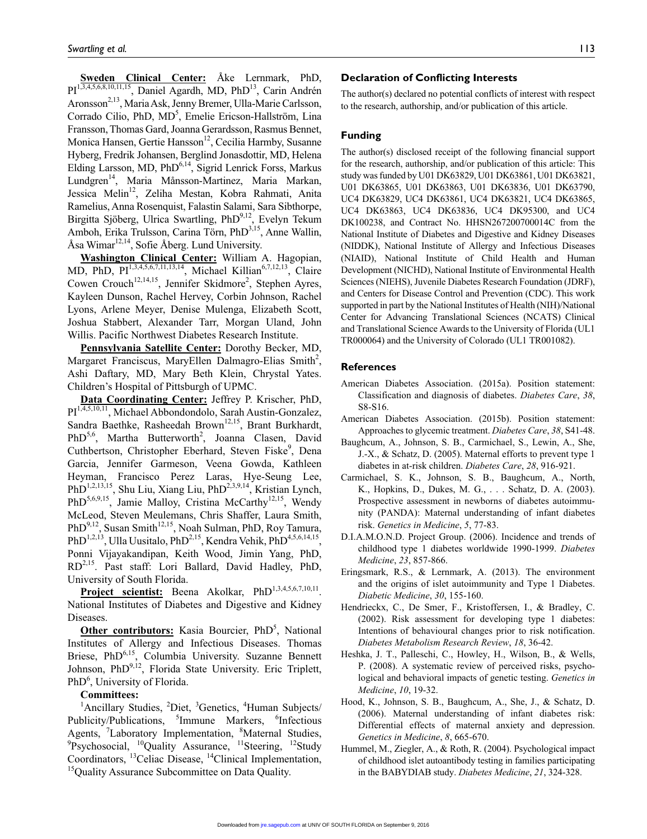**Sweden Clinical Center:** Åke Lernmark, PhD,  $PI^{1,3,4,5,6,8,10,11,15}$ , Daniel Agardh, MD, PhD<sup>13</sup>, Carin Andrén Aronsson<sup>2,13</sup>, Maria Ask, Jenny Bremer, Ulla-Marie Carlsson, Corrado Cilio, PhD, MD<sup>5</sup>, Emelie Ericson-Hallström, Lina Fransson, Thomas Gard, Joanna Gerardsson, Rasmus Bennet, Monica Hansen, Gertie Hansson<sup>12</sup>, Cecilia Harmby, Susanne Hyberg, Fredrik Johansen, Berglind Jonasdottir, MD, Helena Elding Larsson, MD, PhD<sup>6,14</sup>, Sigrid Lenrick Forss, Markus Lundgren<sup>14</sup>, Maria Månsson-Martinez, Maria Markan, Jessica Melin<sup>12</sup>, Zeliha Mestan, Kobra Rahmati, Anita Ramelius, Anna Rosenquist, Falastin Salami, Sara Sibthorpe, Birgitta Sjöberg, Ulrica Swartling, PhD<sup>9,12</sup>, Evelyn Tekum Amboh, Erika Trulsson, Carina Törn, PhD<sup>3,15</sup>, Anne Wallin, Åsa Wimar $^{12,14}$ , Sofie Åberg. Lund University.

**Washington Clinical Center:** William A. Hagopian, MD, PhD,  $PI^{1,3,4,5,6,7,11,13,14}$ , Michael Killian<sup>6,7,12,13</sup>, Claire Cowen Crouch<sup>12,14,15</sup>, Jennifer Skidmore<sup>2</sup>, Stephen Ayres, Kayleen Dunson, Rachel Hervey, Corbin Johnson, Rachel Lyons, Arlene Meyer, Denise Mulenga, Elizabeth Scott, Joshua Stabbert, Alexander Tarr, Morgan Uland, John Willis. Pacific Northwest Diabetes Research Institute.

**Pennsylvania Satellite Center:** Dorothy Becker, MD, Margaret Franciscus, MaryEllen Dalmagro-Elias Smith<sup>2</sup>, Ashi Daftary, MD, Mary Beth Klein, Chrystal Yates. Children's Hospital of Pittsburgh of UPMC.

**Data Coordinating Center:** Jeffrey P. Krischer, PhD, PI<sup>1,4,5,10,11</sup>, Michael Abbondondolo, Sarah Austin-Gonzalez, Sandra Baethke, Rasheedah Brown<sup>12,15</sup>, Brant Burkhardt, PhD<sup>5,6</sup>, Martha Butterworth<sup>2</sup>, Joanna Clasen, David Cuthbertson, Christopher Eberhard, Steven Fiske<sup>9</sup>, Dena Garcia, Jennifer Garmeson, Veena Gowda, Kathleen Heyman, Francisco Perez Laras, Hye-Seung Lee, PhD<sup>1,2,13,15</sup>, Shu Liu, Xiang Liu, PhD<sup>2,3,9,14</sup>, Kristian Lynch, PhD<sup>5,6,9,15</sup>, Jamie Malloy, Cristina McCarthy<sup>12,15</sup>, Wendy McLeod, Steven Meulemans, Chris Shaffer, Laura Smith,  $PhD<sup>9,12</sup>$ , Susan Smith<sup>12,15</sup>, Noah Sulman, PhD, Roy Tamura, PhD<sup>1,2,13</sup>, Ulla Uusitalo, PhD<sup>2,15</sup>, Kendra Vehik, PhD<sup>4,5,6,14,15</sup>, Ponni Vijayakandipan, Keith Wood, Jimin Yang, PhD, RD2,15. Past staff: Lori Ballard, David Hadley, PhD, University of South Florida.

Project scientist: Beena Akolkar, PhD<sup>1,3,4,5,6,7,10,11</sup>. National Institutes of Diabetes and Digestive and Kidney Diseases.

Other contributors: Kasia Bourcier, PhD<sup>5</sup>, National Institutes of Allergy and Infectious Diseases. Thomas Briese, PhD<sup>6,15</sup>, Columbia University. Suzanne Bennett Johnson, PhD<sup>9,12</sup>, Florida State University. Eric Triplett, PhD<sup>6</sup>, University of Florida.

#### **Committees:**

<sup>1</sup>Ancillary Studies, <sup>2</sup>Diet, <sup>3</sup>Genetics, <sup>4</sup>Human Subjects/ Publicity/Publications, <sup>5</sup>Immune Markers, <sup>6</sup>Infectious Agents, <sup>7</sup>Laboratory Implementation, <sup>8</sup>Maternal Studies,  $P$ sychosocial, <sup>10</sup>Quality Assurance, <sup>11</sup>Steering, <sup>12</sup>Study Coordinators, 13Celiac Disease, 14Clinical Implementation, 15Quality Assurance Subcommittee on Data Quality.

#### **Declaration of Conflicting Interests**

The author(s) declared no potential conflicts of interest with respect to the research, authorship, and/or publication of this article.

#### **Funding**

The author(s) disclosed receipt of the following financial support for the research, authorship, and/or publication of this article: This study was funded by U01 DK63829, U01 DK63861, U01 DK63821, U01 DK63865, U01 DK63863, U01 DK63836, U01 DK63790, UC4 DK63829, UC4 DK63861, UC4 DK63821, UC4 DK63865, UC4 DK63863, UC4 DK63836, UC4 DK95300, and UC4 DK100238, and Contract No. HHSN267200700014C from the National Institute of Diabetes and Digestive and Kidney Diseases (NIDDK), National Institute of Allergy and Infectious Diseases (NIAID), National Institute of Child Health and Human Development (NICHD), National Institute of Environmental Health Sciences (NIEHS), Juvenile Diabetes Research Foundation (JDRF), and Centers for Disease Control and Prevention (CDC). This work supported in part by the National Institutes of Health (NIH)/National Center for Advancing Translational Sciences (NCATS) Clinical and Translational Science Awards to the University of Florida (UL1 TR000064) and the University of Colorado (UL1 TR001082).

#### **References**

- American Diabetes Association. (2015a). Position statement: Classification and diagnosis of diabetes. *Diabetes Care*, *38*, S8-S16.
- American Diabetes Association. (2015b). Position statement: Approaches to glycemic treatment. *Diabetes Care*, *38*, S41-48.
- Baughcum, A., Johnson, S. B., Carmichael, S., Lewin, A., She, J.-X., & Schatz, D. (2005). Maternal efforts to prevent type 1 diabetes in at-risk children. *Diabetes Care*, *28*, 916-921.
- Carmichael, S. K., Johnson, S. B., Baughcum, A., North, K., Hopkins, D., Dukes, M. G., . . . Schatz, D. A. (2003). Prospective assessment in newborns of diabetes autoimmunity (PANDA): Maternal understanding of infant diabetes risk. *Genetics in Medicine*, *5*, 77-83.
- D.I.A.M.O.N.D. Project Group. (2006). Incidence and trends of childhood type 1 diabetes worldwide 1990-1999. *Diabetes Medicine*, *23*, 857-866.
- Eringsmark, R.S., & Lernmark, A. (2013). The environment and the origins of islet autoimmunity and Type 1 Diabetes. *Diabetic Medicine*, *30*, 155-160.
- Hendrieckx, C., De Smer, F., Kristoffersen, I., & Bradley, C. (2002). Risk assessment for developing type 1 diabetes: Intentions of behavioural changes prior to risk notification. *Diabetes Metabolism Research Review*, *18*, 36-42.
- Heshka, J. T., Palleschi, C., Howley, H., Wilson, B., & Wells, P. (2008). A systematic review of perceived risks, psychological and behavioral impacts of genetic testing. *Genetics in Medicine*, *10*, 19-32.
- Hood, K., Johnson, S. B., Baughcum, A., She, J., & Schatz, D. (2006). Maternal understanding of infant diabetes risk: Differential effects of maternal anxiety and depression. *Genetics in Medicine*, *8*, 665-670.
- Hummel, M., Ziegler, A., & Roth, R. (2004). Psychological impact of childhood islet autoantibody testing in families participating in the BABYDIAB study. *Diabetes Medicine*, *21*, 324-328.